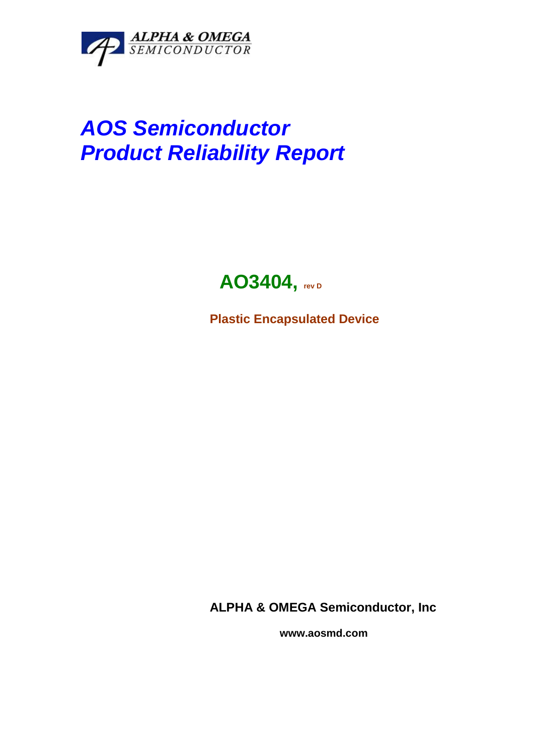

# *AOS Semiconductor Product Reliability Report*

## **AO3404, rev <sup>D</sup>**

**Plastic Encapsulated Device**

**ALPHA & OMEGA Semiconductor, Inc**

 **www.aosmd.com**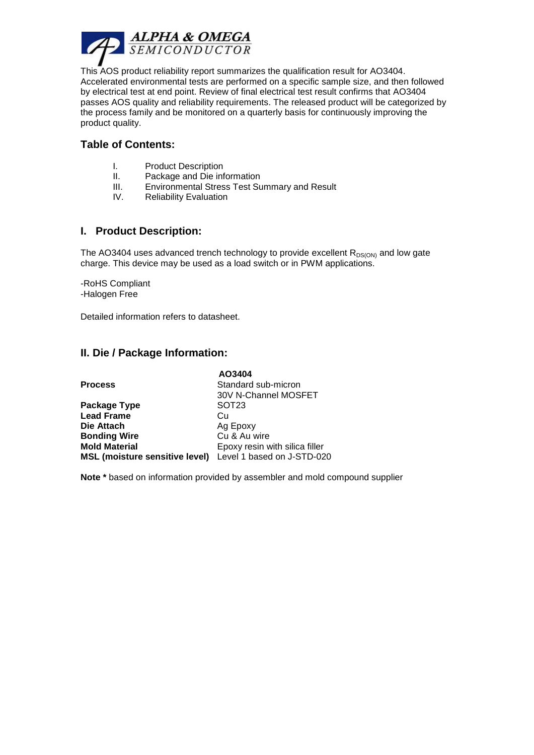

This AOS product reliability report summarizes the qualification result for AO3404. Accelerated environmental tests are performed on a specific sample size, and then followed by electrical test at end point. Review of final electrical test result confirms that AO3404 passes AOS quality and reliability requirements. The released product will be categorized by the process family and be monitored on a quarterly basis for continuously improving the product quality.

#### **Table of Contents:**

- I. Product Description
- II. Package and Die information
- III. Environmental Stress Test Summary and Result
- IV. Reliability Evaluation

#### **I. Product Description:**

The AO3404 uses advanced trench technology to provide excellent  $R_{DS(ON)}$  and low gate charge. This device may be used as a load switch or in PWM applications.

-RoHS Compliant -Halogen Free

Detailed information refers to datasheet.

#### **II. Die / Package Information:**

|                                       | AO3404                         |
|---------------------------------------|--------------------------------|
| <b>Process</b>                        | Standard sub-micron            |
|                                       | 30V N-Channel MOSFET           |
| Package Type                          | SOT <sub>23</sub>              |
| <b>Lead Frame</b>                     | Cu                             |
| Die Attach                            | Ag Epoxy                       |
| <b>Bonding Wire</b>                   | Cu & Au wire                   |
| <b>Mold Material</b>                  | Epoxy resin with silica filler |
| <b>MSL (moisture sensitive level)</b> | Level 1 based on J-STD-020     |

**Note \*** based on information provided by assembler and mold compound supplier